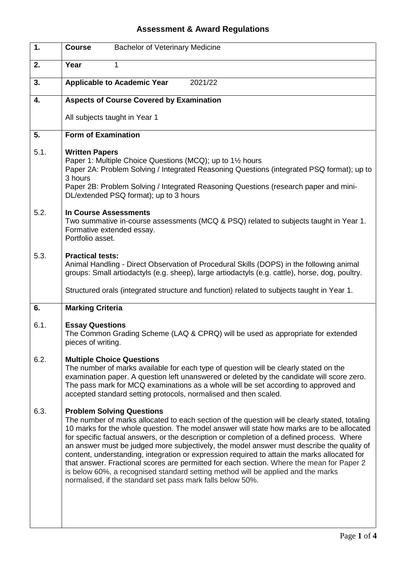## **Assessment & Award Regulations**

| 1.   | <b>Bachelor of Veterinary Medicine</b><br><b>Course</b>                                                                                                                                                                                                                                                                                                                                                                                                                                                                                                                                                                                                                                                                                                                    |
|------|----------------------------------------------------------------------------------------------------------------------------------------------------------------------------------------------------------------------------------------------------------------------------------------------------------------------------------------------------------------------------------------------------------------------------------------------------------------------------------------------------------------------------------------------------------------------------------------------------------------------------------------------------------------------------------------------------------------------------------------------------------------------------|
| 2.   | Year<br>1                                                                                                                                                                                                                                                                                                                                                                                                                                                                                                                                                                                                                                                                                                                                                                  |
| 3.   | 2021/22<br><b>Applicable to Academic Year</b>                                                                                                                                                                                                                                                                                                                                                                                                                                                                                                                                                                                                                                                                                                                              |
| 4.   | <b>Aspects of Course Covered by Examination</b>                                                                                                                                                                                                                                                                                                                                                                                                                                                                                                                                                                                                                                                                                                                            |
|      | All subjects taught in Year 1                                                                                                                                                                                                                                                                                                                                                                                                                                                                                                                                                                                                                                                                                                                                              |
| 5.   | <b>Form of Examination</b>                                                                                                                                                                                                                                                                                                                                                                                                                                                                                                                                                                                                                                                                                                                                                 |
| 5.1. | <b>Written Papers</b><br>Paper 1: Multiple Choice Questions (MCQ); up to 1 <sup>1/2</sup> hours<br>Paper 2A: Problem Solving / Integrated Reasoning Questions (integrated PSQ format); up to<br>3 hours<br>Paper 2B: Problem Solving / Integrated Reasoning Questions (research paper and mini-<br>DL/extended PSQ format); up to 3 hours                                                                                                                                                                                                                                                                                                                                                                                                                                  |
| 5.2. | <b>In Course Assessments</b><br>Two summative in-course assessments (MCQ & PSQ) related to subjects taught in Year 1.<br>Formative extended essay.<br>Portfolio asset.                                                                                                                                                                                                                                                                                                                                                                                                                                                                                                                                                                                                     |
| 5.3. | <b>Practical tests:</b><br>Animal Handling - Direct Observation of Procedural Skills (DOPS) in the following animal<br>groups: Small artiodactyls (e.g. sheep), large artiodactyls (e.g. cattle), horse, dog, poultry.                                                                                                                                                                                                                                                                                                                                                                                                                                                                                                                                                     |
|      | Structured orals (integrated structure and function) related to subjects taught in Year 1.                                                                                                                                                                                                                                                                                                                                                                                                                                                                                                                                                                                                                                                                                 |
| 6.   | <b>Marking Criteria</b>                                                                                                                                                                                                                                                                                                                                                                                                                                                                                                                                                                                                                                                                                                                                                    |
| 6.1. | <b>Essay Questions</b><br>The Common Grading Scheme (LAQ & CPRQ) will be used as appropriate for extended<br>pieces of writing.                                                                                                                                                                                                                                                                                                                                                                                                                                                                                                                                                                                                                                            |
| 6.2. | <b>Multiple Choice Questions</b><br>The number of marks available for each type of question will be clearly stated on the<br>examination paper. A question left unanswered or deleted by the candidate will score zero.<br>The pass mark for MCQ examinations as a whole will be set according to approved and<br>accepted standard setting protocols, normalised and then scaled.                                                                                                                                                                                                                                                                                                                                                                                         |
| 6.3. | <b>Problem Solving Questions</b><br>The number of marks allocated to each section of the question will be clearly stated, totaling<br>10 marks for the whole question. The model answer will state how marks are to be allocated<br>for specific factual answers, or the description or completion of a defined process. Where<br>an answer must be judged more subjectively, the model answer must describe the quality of<br>content, understanding, integration or expression required to attain the marks allocated for<br>that answer. Fractional scores are permitted for each section. Where the mean for Paper 2<br>is below 60%, a recognised standard setting method will be applied and the marks<br>normalised, if the standard set pass mark falls below 50%. |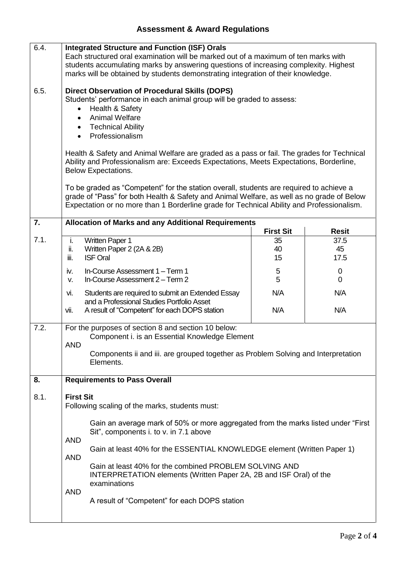## **Assessment & Award Regulations**

| 6.4. | <b>Integrated Structure and Function (ISF) Orals</b><br>Each structured oral examination will be marked out of a maximum of ten marks with<br>students accumulating marks by answering questions of increasing complexity. Highest<br>marks will be obtained by students demonstrating integration of their knowledge.                                                                                                                             |                                    |                                    |
|------|----------------------------------------------------------------------------------------------------------------------------------------------------------------------------------------------------------------------------------------------------------------------------------------------------------------------------------------------------------------------------------------------------------------------------------------------------|------------------------------------|------------------------------------|
| 6.5. | <b>Direct Observation of Procedural Skills (DOPS)</b><br>Students' performance in each animal group will be graded to assess:<br>Health & Safety<br><b>Animal Welfare</b><br><b>Technical Ability</b><br>Professionalism<br>Health & Safety and Animal Welfare are graded as a pass or fail. The grades for Technical<br>Ability and Professionalism are: Exceeds Expectations, Meets Expectations, Borderline,                                    |                                    |                                    |
|      | <b>Below Expectations.</b>                                                                                                                                                                                                                                                                                                                                                                                                                         |                                    |                                    |
|      | To be graded as "Competent" for the station overall, students are required to achieve a<br>grade of "Pass" for both Health & Safety and Animal Welfare, as well as no grade of Below<br>Expectation or no more than 1 Borderline grade for Technical Ability and Professionalism.                                                                                                                                                                  |                                    |                                    |
| 7.   | <b>Allocation of Marks and any Additional Requirements</b>                                                                                                                                                                                                                                                                                                                                                                                         |                                    |                                    |
| 7.1. | <b>Written Paper 1</b><br>i.<br>Written Paper 2 (2A & 2B)<br>ii.<br>iii.<br><b>ISF Oral</b>                                                                                                                                                                                                                                                                                                                                                        | <b>First Sit</b><br>35<br>40<br>15 | <b>Resit</b><br>37.5<br>45<br>17.5 |
|      | In-Course Assessment 1 - Term 1<br>iv.<br>In-Course Assessment 2 - Term 2<br>V.                                                                                                                                                                                                                                                                                                                                                                    | 5<br>5                             | 0<br>0                             |
|      | Students are required to submit an Extended Essay<br>vi.<br>and a Professional Studies Portfolio Asset<br>vii.<br>A result of "Competent" for each DOPS station                                                                                                                                                                                                                                                                                    | N/A<br>N/A                         | N/A<br>N/A                         |
| 7.2. | For the purposes of section 8 and section 10 below:<br>Component i. is an Essential Knowledge Element<br><b>AND</b><br>Components ii and iii. are grouped together as Problem Solving and Interpretation<br>Elements.                                                                                                                                                                                                                              |                                    |                                    |
|      |                                                                                                                                                                                                                                                                                                                                                                                                                                                    |                                    |                                    |
| 8.   | <b>Requirements to Pass Overall</b>                                                                                                                                                                                                                                                                                                                                                                                                                |                                    |                                    |
| 8.1. | <b>First Sit</b><br>Following scaling of the marks, students must:                                                                                                                                                                                                                                                                                                                                                                                 |                                    |                                    |
|      | Gain an average mark of 50% or more aggregated from the marks listed under "First"<br>Sit", components i. to v. in 7.1 above<br><b>AND</b><br>Gain at least 40% for the ESSENTIAL KNOWLEDGE element (Written Paper 1)<br><b>AND</b><br>Gain at least 40% for the combined PROBLEM SOLVING AND<br>INTERPRETATION elements (Written Paper 2A, 2B and ISF Oral) of the<br>examinations<br><b>AND</b><br>A result of "Competent" for each DOPS station |                                    |                                    |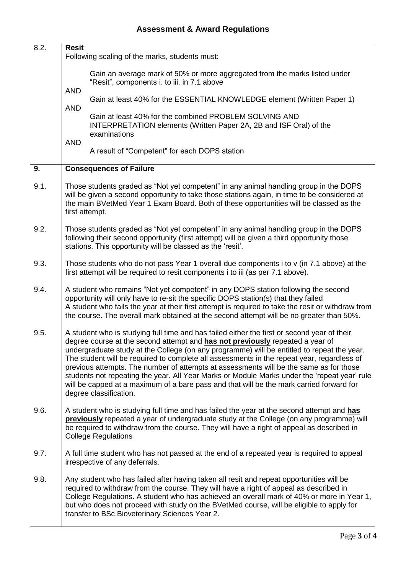| 8.2. | <b>Resit</b>                                                                                                                                                                                                                                                                                                                                                                                                                                                                                                                                                                                                                                                                             |
|------|------------------------------------------------------------------------------------------------------------------------------------------------------------------------------------------------------------------------------------------------------------------------------------------------------------------------------------------------------------------------------------------------------------------------------------------------------------------------------------------------------------------------------------------------------------------------------------------------------------------------------------------------------------------------------------------|
|      | Following scaling of the marks, students must:                                                                                                                                                                                                                                                                                                                                                                                                                                                                                                                                                                                                                                           |
|      | Gain an average mark of 50% or more aggregated from the marks listed under<br>"Resit", components i. to iii. in 7.1 above<br><b>AND</b>                                                                                                                                                                                                                                                                                                                                                                                                                                                                                                                                                  |
|      | Gain at least 40% for the ESSENTIAL KNOWLEDGE element (Written Paper 1)                                                                                                                                                                                                                                                                                                                                                                                                                                                                                                                                                                                                                  |
|      | <b>AND</b><br>Gain at least 40% for the combined PROBLEM SOLVING AND<br>INTERPRETATION elements (Written Paper 2A, 2B and ISF Oral) of the<br>examinations                                                                                                                                                                                                                                                                                                                                                                                                                                                                                                                               |
|      | <b>AND</b><br>A result of "Competent" for each DOPS station                                                                                                                                                                                                                                                                                                                                                                                                                                                                                                                                                                                                                              |
| 9.   | <b>Consequences of Failure</b>                                                                                                                                                                                                                                                                                                                                                                                                                                                                                                                                                                                                                                                           |
| 9.1. | Those students graded as "Not yet competent" in any animal handling group in the DOPS<br>will be given a second opportunity to take those stations again, in time to be considered at<br>the main BVetMed Year 1 Exam Board. Both of these opportunities will be classed as the<br>first attempt.                                                                                                                                                                                                                                                                                                                                                                                        |
| 9.2. | Those students graded as "Not yet competent" in any animal handling group in the DOPS<br>following their second opportunity (first attempt) will be given a third opportunity those<br>stations. This opportunity will be classed as the 'resit'.                                                                                                                                                                                                                                                                                                                                                                                                                                        |
| 9.3. | Those students who do not pass Year 1 overall due components i to v (in 7.1 above) at the<br>first attempt will be required to resit components i to iii (as per 7.1 above).                                                                                                                                                                                                                                                                                                                                                                                                                                                                                                             |
| 9.4. | A student who remains "Not yet competent" in any DOPS station following the second<br>opportunity will only have to re-sit the specific DOPS station(s) that they failed<br>A student who fails the year at their first attempt is required to take the resit or withdraw from<br>the course. The overall mark obtained at the second attempt will be no greater than 50%.                                                                                                                                                                                                                                                                                                               |
| 9.5. | A student who is studying full time and has failed either the first or second year of their<br>degree course at the second attempt and has not previously repeated a year of<br>undergraduate study at the College (on any programme) will be entitled to repeat the year.<br>The student will be required to complete all assessments in the repeat year, regardless of<br>previous attempts. The number of attempts at assessments will be the same as for those<br>students not repeating the year. All Year Marks or Module Marks under the 'repeat year' rule<br>will be capped at a maximum of a bare pass and that will be the mark carried forward for<br>degree classification. |
| 9.6. | A student who is studying full time and has failed the year at the second attempt and has<br>previously repeated a year of undergraduate study at the College (on any programme) will<br>be required to withdraw from the course. They will have a right of appeal as described in<br><b>College Regulations</b>                                                                                                                                                                                                                                                                                                                                                                         |
| 9.7. | A full time student who has not passed at the end of a repeated year is required to appeal<br>irrespective of any deferrals.                                                                                                                                                                                                                                                                                                                                                                                                                                                                                                                                                             |
| 9.8. | Any student who has failed after having taken all resit and repeat opportunities will be<br>required to withdraw from the course. They will have a right of appeal as described in<br>College Regulations. A student who has achieved an overall mark of 40% or more in Year 1,<br>but who does not proceed with study on the BVetMed course, will be eligible to apply for<br>transfer to BSc Bioveterinary Sciences Year 2.                                                                                                                                                                                                                                                            |